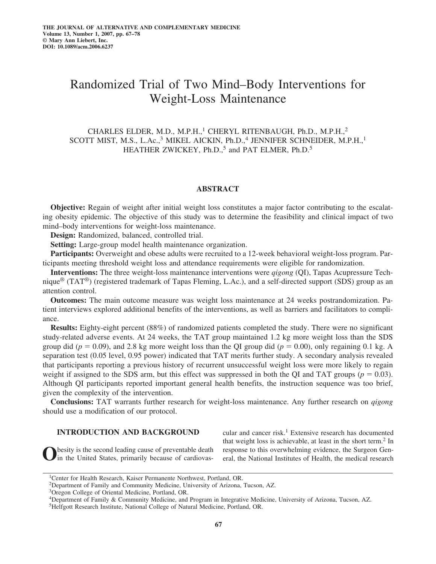# Randomized Trial of Two Mind–Body Interventions for Weight-Loss Maintenance

CHARLES ELDER, M.D., M.P.H.,<sup>1</sup> CHERYL RITENBAUGH, Ph.D., M.P.H.,<sup>2</sup> SCOTT MIST, M.S., L.Ac.,<sup>3</sup> MIKEL AICKIN, Ph.D.,<sup>4</sup> JENNIFER SCHNEIDER, M.P.H.,<sup>1</sup> HEATHER ZWICKEY, Ph.D.,<sup>5</sup> and PAT ELMER, Ph.D.<sup>5</sup>

# **ABSTRACT**

**Objective:** Regain of weight after initial weight loss constitutes a major factor contributing to the escalating obesity epidemic. The objective of this study was to determine the feasibility and clinical impact of two mind–body interventions for weight-loss maintenance.

**Design:** Randomized, balanced, controlled trial.

**Setting:** Large-group model health maintenance organization.

**Participants:** Overweight and obese adults were recruited to a 12-week behavioral weight-loss program. Participants meeting threshold weight loss and attendance requirements were eligible for randomization.

**Interventions:** The three weight-loss maintenance interventions were *qigong* (QI), Tapas Acupressure Technique® (TAT®) (registered trademark of Tapas Fleming, L.Ac.), and a self-directed support (SDS) group as an attention control.

**Outcomes:** The main outcome measure was weight loss maintenance at 24 weeks postrandomization. Patient interviews explored additional benefits of the interventions, as well as barriers and facilitators to compliance.

**Results:** Eighty-eight percent (88%) of randomized patients completed the study. There were no significant study-related adverse events. At 24 weeks, the TAT group maintained 1.2 kg more weight loss than the SDS group did ( $p = 0.09$ ), and 2.8 kg more weight loss than the QI group did ( $p = 0.00$ ), only regaining 0.1 kg. A separation test (0.05 level, 0.95 power) indicated that TAT merits further study. A secondary analysis revealed that participants reporting a previous history of recurrent unsuccessful weight loss were more likely to regain weight if assigned to the SDS arm, but this effect was suppressed in both the QI and TAT groups ( $p = 0.03$ ). Although QI participants reported important general health benefits, the instruction sequence was too brief, given the complexity of the intervention.

**Conclusions:** TAT warrants further research for weight-loss maintenance. Any further research on *qigong* should use a modification of our protocol.

## **INTRODUCTION AND BACKGROUND**

**O**besity is the second leading cause of preventable death in the United States, primarily because of cardiovas-

cular and cancer risk.<sup>1</sup> Extensive research has documented that weight loss is achievable, at least in the short term.<sup>2</sup> In response to this overwhelming evidence, the Surgeon General, the National Institutes of Health, the medical research

<sup>&</sup>lt;sup>1</sup>Center for Health Research, Kaiser Permanente Northwest, Portland, OR.

<sup>2</sup>Department of Family and Community Medicine, University of Arizona, Tucson, AZ.

<sup>3</sup>Oregon College of Oriental Medicine, Portland, OR.

<sup>4</sup>Department of Family & Community Medicine, and Program in Integrative Medicine, University of Arizona, Tucson, AZ.

<sup>5</sup>Helfgott Research Institute, National College of Natural Medicine, Portland, OR.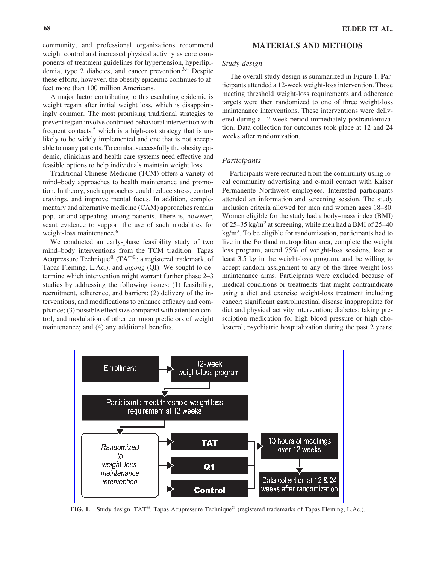community, and professional organizations recommend weight control and increased physical activity as core components of treatment guidelines for hypertension, hyperlipidemia, type 2 diabetes, and cancer prevention.3,4 Despite these efforts, however, the obesity epidemic continues to affect more than 100 million Americans.

A major factor contributing to this escalating epidemic is weight regain after initial weight loss, which is disappointingly common. The most promising traditional strategies to prevent regain involve continued behavioral intervention with frequent contacts,<sup>5</sup> which is a high-cost strategy that is unlikely to be widely implemented and one that is not acceptable to many patients. To combat successfully the obesity epidemic, clinicians and health care systems need effective and feasible options to help individuals maintain weight loss.

Traditional Chinese Medicine (TCM) offers a variety of mind–body approaches to health maintenance and promotion. In theory, such approaches could reduce stress, control cravings, and improve mental focus. In addition, complementary and alternative medicine (CAM) approaches remain popular and appealing among patients. There is, however, scant evidence to support the use of such modalities for weight-loss maintenance.<sup>6</sup>

We conducted an early-phase feasibility study of two mind–body interventions from the TCM tradition: Tapas Acupressure Technique® (TAT®; a registered trademark, of Tapas Fleming, L.Ac.), and *qigong* (QI). We sought to determine which intervention might warrant further phase 2–3 studies by addressing the following issues: (1) feasibility, recruitment, adherence, and barriers; (2) delivery of the interventions, and modifications to enhance efficacy and compliance; (3) possible effect size compared with attention control, and modulation of other common predictors of weight maintenance; and (4) any additional benefits.

#### **MATERIALS AND METHODS**

#### *Study design*

The overall study design is summarized in Figure 1. Participants attended a 12-week weight-loss intervention. Those meeting threshold weight-loss requirements and adherence targets were then randomized to one of three weight-loss maintenance interventions. These interventions were delivered during a 12-week period immediately postrandomization. Data collection for outcomes took place at 12 and 24 weeks after randomization.

## *Participants*

Participants were recruited from the community using local community advertising and e-mail contact with Kaiser Permanente Northwest employees. Interested participants attended an information and screening session. The study inclusion criteria allowed for men and women ages 18–80. Women eligible for the study had a body–mass index (BMI) of 25–35 kg/m<sup>2</sup> at screening, while men had a BMI of 25–40  $kg/m<sup>2</sup>$ . To be eligible for randomization, participants had to live in the Portland metropolitan area, complete the weight loss program, attend 75% of weight-loss sessions, lose at least 3.5 kg in the weight-loss program, and be willing to accept random assignment to any of the three weight-loss maintenance arms. Participants were excluded because of medical conditions or treatments that might contraindicate using a diet and exercise weight-loss treatment including cancer; significant gastrointestinal disease inappropriate for diet and physical activity intervention; diabetes; taking prescription medication for high blood pressure or high cholesterol; psychiatric hospitalization during the past 2 years;



**FIG. 1.** Study design. TAT®, Tapas Acupressure Technique® (registered trademarks of Tapas Fleming, L.Ac.).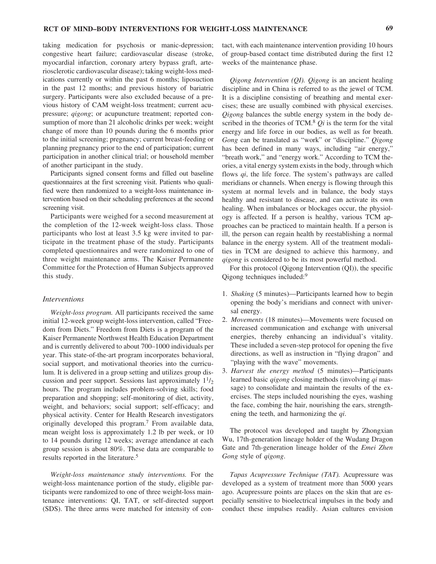taking medication for psychosis or manic-depression; congestive heart failure; cardiovascular disease (stroke, myocardial infarction, coronary artery bypass graft, arteriosclerotic cardiovascular disease); taking weight-loss medications currently or within the past 6 months; liposuction in the past 12 months; and previous history of bariatric surgery. Participants were also excluded because of a previous history of CAM weight-loss treatment; current acupressure; *qigong*; or acupuncture treatment; reported consumption of more than 21 alcoholic drinks per week; weight change of more than 10 pounds during the 6 months prior to the initial screening; pregnancy; current breast-feeding or planning pregnancy prior to the end of participation; current participation in another clinical trial; or household member of another participant in the study.

Participants signed consent forms and filled out baseline questionnaires at the first screening visit. Patients who qualified were then randomized to a weight-loss maintenance intervention based on their scheduling preferences at the second screening visit.

Participants were weighed for a second measurement at the completion of the 12-week weight-loss class. Those participants who lost at least 3.5 kg were invited to participate in the treatment phase of the study. Participants completed questionnaires and were randomized to one of three weight maintenance arms. The Kaiser Permanente Committee for the Protection of Human Subjects approved this study.

#### *Interventions*

*Weight-loss program.* All participants received the same initial 12-week group weight-loss intervention, called "Freedom from Diets." Freedom from Diets is a program of the Kaiser Permanente Northwest Health Education Department and is currently delivered to about 700–1000 individuals per year. This state-of-the-art program incorporates behavioral, social support, and motivational theories into the curriculum. It is delivered in a group setting and utilizes group discussion and peer support. Sessions last approximately  $1\frac{1}{2}$ hours. The program includes problem-solving skills; food preparation and shopping; self-monitoring of diet, activity, weight, and behaviors; social support; self-efficacy; and physical activity. Center for Health Research investigators originally developed this program.<sup>7</sup> From available data, mean weight loss is approximately 1.2 lb per week, or 10 to 14 pounds during 12 weeks; average attendance at each group session is about 80%. These data are comparable to results reported in the literature.5

*Weight-loss maintenance study interventions.* For the weight-loss maintenance portion of the study, eligible participants were randomized to one of three weight-loss maintenance interventions: QI, TAT, or self-directed support (SDS). The three arms were matched for intensity of contact, with each maintenance intervention providing 10 hours of group-based contact time distributed during the first 12 weeks of the maintenance phase.

*Qigong Intervention (QI). Qigong* is an ancient healing discipline and in China is referred to as the jewel of TCM. It is a discipline consisting of breathing and mental exercises; these are usually combined with physical exercises. *Qigong* balances the subtle energy system in the body described in the theories of TCM.<sup>8</sup> *Qi* is the term for the vital energy and life force in our bodies, as well as for breath. *Gong* can be translated as "work" or "discipline." *Qigong* has been defined in many ways, including "air energy," "breath work," and "energy work." According to TCM theories, a vital energy system exists in the body, through which flows *qi*, the life force. The system's pathways are called meridians or channels. When energy is flowing through this system at normal levels and in balance, the body stays healthy and resistant to disease, and can activate its own healing. When imbalances or blockages occur, the physiology is affected. If a person is healthy, various TCM approaches can be practiced to maintain health. If a person is ill, the person can regain health by reestablishing a normal balance in the energy system. All of the treatment modalities in TCM are designed to achieve this harmony, and *qigong* is considered to be its most powerful method.

For this protocol (Qigong Intervention (QI)), the specific Qigong techniques included:<sup>9</sup>

- 1. *Shaking* (5 minutes)—Participants learned how to begin opening the body's meridians and connect with universal energy.
- 2. *Movements* (18 minutes)—Movements were focused on increased communication and exchange with universal energies, thereby enhancing an individual's vitality. These included a seven-step protocol for opening the five directions, as well as instruction in "flying dragon" and "playing with the wave" movements.
- 3. *Harvest the energy method* (5 minutes)—Participants learned basic *qigong* closing methods (involving *qi* massage) to consolidate and maintain the results of the exercises. The steps included nourishing the eyes, washing the face, combing the hair, nourishing the ears, strengthening the teeth, and harmonizing the *qi*.

The protocol was developed and taught by Zhongxian Wu, 17th-generation lineage holder of the Wudang Dragon Gate and 7th-generation lineage holder of the *Emei Zhen Gong* style of *qigong*.

*Tapas Acupressure Technique (TAT).* Acupressure was developed as a system of treatment more than 5000 years ago. Acupressure points are places on the skin that are especially sensitive to bioelectrical impulses in the body and conduct these impulses readily. Asian cultures envision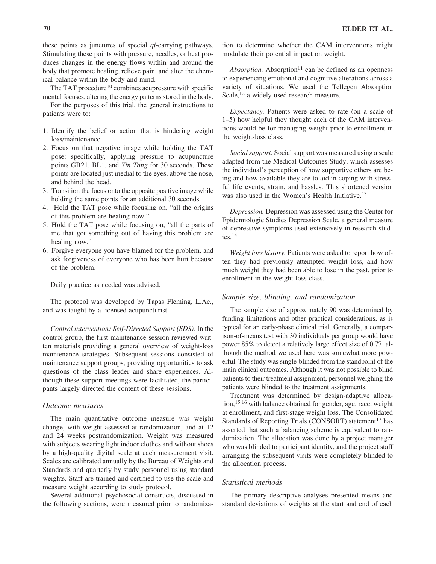these points as junctures of special *qi*-carrying pathways. Stimulating these points with pressure, needles, or heat produces changes in the energy flows within and around the body that promote healing, relieve pain, and alter the chemical balance within the body and mind.

The TAT procedure<sup>10</sup> combines acupressure with specific mental focuses, altering the energy patterns stored in the body.

For the purposes of this trial, the general instructions to patients were to:

- 1. Identify the belief or action that is hindering weight loss/maintenance.
- 2. Focus on that negative image while holding the TAT pose: specifically, applying pressure to acupuncture points GB21, BL1, and *Yin Tang* for 30 seconds. These points are located just medial to the eyes, above the nose, and behind the head.
- 3. Transition the focus onto the opposite positive image while holding the same points for an additional 30 seconds.
- 4. Hold the TAT pose while focusing on, "all the origins of this problem are healing now."
- 5. Hold the TAT pose while focusing on, "all the parts of me that got something out of having this problem are healing now."
- 6. Forgive everyone you have blamed for the problem, and ask forgiveness of everyone who has been hurt because of the problem.

Daily practice as needed was advised.

The protocol was developed by Tapas Fleming, L.Ac., and was taught by a licensed acupuncturist.

*Control intervention: Self-Directed Support (SDS).* In the control group, the first maintenance session reviewed written materials providing a general overview of weight-loss maintenance strategies. Subsequent sessions consisted of maintenance support groups, providing opportunities to ask questions of the class leader and share experiences. Although these support meetings were facilitated, the participants largely directed the content of these sessions.

#### *Outcome measures*

The main quantitative outcome measure was weight change, with weight assessed at randomization, and at 12 and 24 weeks postrandomization. Weight was measured with subjects wearing light indoor clothes and without shoes by a high-quality digital scale at each measurement visit. Scales are calibrated annually by the Bureau of Weights and Standards and quarterly by study personnel using standard weights. Staff are trained and certified to use the scale and measure weight according to study protocol.

Several additional psychosocial constructs, discussed in the following sections, were measured prior to randomization to determine whether the CAM interventions might modulate their potential impact on weight.

 $Absorption$ . Absorption<sup>11</sup> can be defined as an openness to experiencing emotional and cognitive alterations across a variety of situations. We used the Tellegen Absorption Scale, $12$  a widely used research measure.

*Expectancy.* Patients were asked to rate (on a scale of 1–5) how helpful they thought each of the CAM interventions would be for managing weight prior to enrollment in the weight-loss class.

*Social support.* Social support was measured using a scale adapted from the Medical Outcomes Study, which assesses the individual's perception of how supportive others are being and how available they are to aid in coping with stressful life events, strain, and hassles. This shortened version was also used in the Women's Health Initiative.<sup>13</sup>

*Depression.* Depression was assessed using the Center for Epidemiologic Studies Depression Scale, a general measure of depressive symptoms used extensively in research stud $i$ es.<sup>14</sup>

*Weight loss history.* Patients were asked to report how often they had previously attempted weight loss, and how much weight they had been able to lose in the past, prior to enrollment in the weight-loss class.

# *Sample size, blinding, and randomization*

The sample size of approximately 90 was determined by funding limitations and other practical considerations, as is typical for an early-phase clinical trial. Generally, a comparison-of-means test with 30 individuals per group would have power 85% to detect a relatively large effect size of 0.77, although the method we used here was somewhat more powerful. The study was single-blinded from the standpoint of the main clinical outcomes. Although it was not possible to blind patients to their treatment assignment, personnel weighing the patients were blinded to the treatment assignments.

Treatment was determined by design-adaptive allocation,  $15,16$  with balance obtained for gender, age, race, weight at enrollment, and first-stage weight loss. The Consolidated Standards of Reporting Trials (CONSORT) statement<sup>17</sup> has asserted that such a balancing scheme is equivalent to randomization. The allocation was done by a project manager who was blinded to participant identity, and the project staff arranging the subsequent visits were completely blinded to the allocation process.

#### *Statistical methods*

The primary descriptive analyses presented means and standard deviations of weights at the start and end of each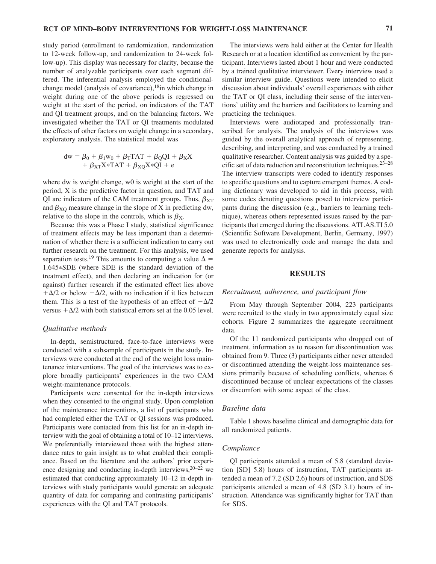study period (enrollment to randomization, randomization to 12-week follow-up, and randomization to 24-week follow-up). This display was necessary for clarity, because the number of analyzable participants over each segment differed. The inferential analysis employed the conditionalchange model (analysis of covariance),  $18$ in which change in weight during one of the above periods is regressed on weight at the start of the period, on indicators of the TAT and QI treatment groups, and on the balancing factors. We investigated whether the TAT or QI treatments modulated the effects of other factors on weight change in a secondary, exploratory analysis. The statistical model was

$$
dw = \beta_0 + \beta_1 w_0 + \beta_T TAT + \beta_Q QI + \beta_X X + \beta_{XT} X * TAT + \beta_{XQ} X * QI + e
$$

where dw is weight change, w0 is weight at the start of the period, X is the predictive factor in question, and TAT and QI are indicators of the CAM treatment groups. Thus,  $\beta_{XT}$ and  $\beta_{XQ}$  measure change in the slope of X in predicting dw, relative to the slope in the controls, which is  $\beta_X$ .

Because this was a Phase I study, statistical significance of treatment effects may be less important than a determination of whether there is a sufficient indication to carry out further research on the treatment. For this analysis, we used separation tests.<sup>19</sup> This amounts to computing a value  $\Delta =$ 1.645\*SDE (where SDE is the standard deviation of the treatment effect), and then declaring an indication for (or against) further research if the estimated effect lies above  $+\Delta/2$  or below  $-\Delta/2$ , with no indication if it lies between them. This is a test of the hypothesis of an effect of  $-\Delta/2$ versus  $+\Delta/2$  with both statistical errors set at the 0.05 level.

#### *Qualitative methods*

In-depth, semistructured, face-to-face interviews were conducted with a subsample of participants in the study. Interviews were conducted at the end of the weight loss maintenance interventions. The goal of the interviews was to explore broadly participants' experiences in the two CAM weight-maintenance protocols.

Participants were consented for the in-depth interviews when they consented to the original study. Upon completion of the maintenance interventions, a list of participants who had completed either the TAT or QI sessions was produced. Participants were contacted from this list for an in-depth interview with the goal of obtaining a total of 10–12 interviews. We preferentially interviewed those with the highest attendance rates to gain insight as to what enabled their compliance. Based on the literature and the authors' prior experience designing and conducting in-depth interviews,  $20-22$  we estimated that conducting approximately 10–12 in-depth interviews with study participants would generate an adequate quantity of data for comparing and contrasting participants' experiences with the QI and TAT protocols.

The interviews were held either at the Center for Health Research or at a location identified as convenient by the participant. Interviews lasted about 1 hour and were conducted by a trained qualitative interviewer. Every interview used a similar interview guide. Questions were intended to elicit discussion about individuals' overall experiences with either the TAT or QI class, including their sense of the interventions' utility and the barriers and facilitators to learning and practicing the techniques.

Interviews were audiotaped and professionally transcribed for analysis. The analysis of the interviews was guided by the overall analytical approach of representing, describing, and interpreting, and was conducted by a trained qualitative researcher. Content analysis was guided by a specific set of data reduction and reconstitution techniques.23–28 The interview transcripts were coded to identify responses to specific questions and to capture emergent themes. A coding dictionary was developed to aid in this process, with some codes denoting questions posed to interview participants during the discussion (e.g., barriers to learning technique), whereas others represented issues raised by the participants that emerged during the discussions. ATLAS.TI 5.0 (Scientific Software Development, Berlin, Germany, 1997) was used to electronically code and manage the data and generate reports for analysis.

# **RESULTS**

#### *Recruitment, adherence, and participant flow*

From May through September 2004, 223 participants were recruited to the study in two approximately equal size cohorts. Figure 2 summarizes the aggregate recruitment data.

Of the 11 randomized participants who dropped out of treatment, information as to reason for discontinuation was obtained from 9. Three (3) participants either never attended or discontinued attending the weight-loss maintenance sessions primarily because of scheduling conflicts, whereas 6 discontinued because of unclear expectations of the classes or discomfort with some aspect of the class.

#### *Baseline data*

Table 1 shows baseline clinical and demographic data for all randomized patients.

#### *Compliance*

QI participants attended a mean of 5.8 (standard deviation [SD] 5.8) hours of instruction, TAT participants attended a mean of 7.2 (SD 2.6) hours of instruction, and SDS participants attended a mean of 4.8 (SD 3.1) hours of instruction. Attendance was significantly higher for TAT than for SDS.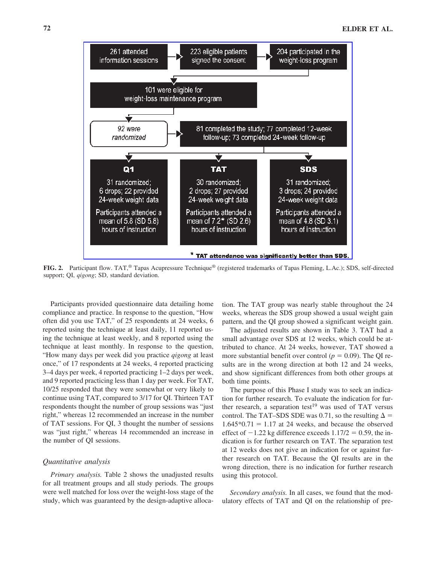

**FIG. 2.** Participant flow. TAT,® Tapas Acupressure Technique® (registered trademarks of Tapas Fleming, L.Ac.); SDS, self-directed support; QI, *qigong*; SD, standard deviation.

Participants provided questionnaire data detailing home compliance and practice. In response to the question, "How often did you use TAT," of 25 respondents at 24 weeks, 6 reported using the technique at least daily, 11 reported using the technique at least weekly, and 8 reported using the technique at least monthly. In response to the question, "How many days per week did you practice *qigong* at least once," of 17 respondents at 24 weeks, 4 reported practicing 3–4 days per week, 4 reported practicing 1–2 days per week, and 9 reported practicing less than 1 day per week. For TAT, 10/25 responded that they were somewhat or very likely to continue using TAT, compared to 3/17 for QI. Thirteen TAT respondents thought the number of group sessions was "just right," whereas 12 recommended an increase in the number of TAT sessions. For QI, 3 thought the number of sessions was "just right," whereas 14 recommended an increase in the number of QI sessions.

# *Quantitative analysis*

*Primary analysis.* Table 2 shows the unadjusted results for all treatment groups and all study periods. The groups were well matched for loss over the weight-loss stage of the study, which was guaranteed by the design-adaptive alloca-

tion. The TAT group was nearly stable throughout the 24 weeks, whereas the SDS group showed a usual weight gain pattern, and the QI group showed a significant weight gain.

The adjusted results are shown in Table 3. TAT had a small advantage over SDS at 12 weeks, which could be attributed to chance. At 24 weeks, however, TAT showed a more substantial benefit over control ( $p = 0.09$ ). The QI results are in the wrong direction at both 12 and 24 weeks, and show significant differences from both other groups at both time points.

The purpose of this Phase I study was to seek an indication for further research. To evaluate the indication for further research, a separation test<sup>19</sup> was used of TAT versus control. The TAT–SDS SDE was 0.71, so the resulting  $\Delta =$  $1.645*0.71 = 1.17$  at 24 weeks, and because the observed effect of  $-1.22$  kg difference exceeds  $1.17/2 = 0.59$ , the indication is for further research on TAT. The separation test at 12 weeks does not give an indication for or against further research on TAT. Because the QI results are in the wrong direction, there is no indication for further research using this protocol.

*Secondary analysis.* In all cases, we found that the modulatory effects of TAT and QI on the relationship of pre-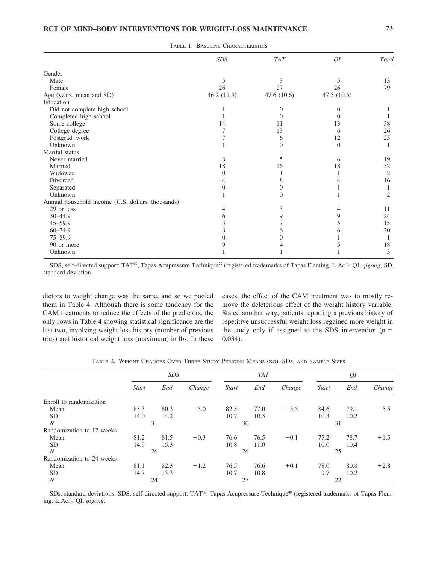# **RCT OF MIND–BODY INTERVENTIONS FOR WEIGHT-LOSS MAINTENANCE 73**

|                                                   | SDS        | <b>TAT</b>  | QI           | Total          |
|---------------------------------------------------|------------|-------------|--------------|----------------|
| Gender                                            |            |             |              |                |
| Male                                              | 5          | 3           | 5            | 13             |
| Female                                            | 26         | 27          | 26           | 79             |
| Age (years, mean and SD)                          | 46.2(11.3) | 47.6 (10.6) | 47.5 (10.5)  |                |
| Education                                         |            |             |              |                |
| Did not complete high school                      |            | $\Omega$    | $\mathbf{O}$ |                |
| Completed high school                             |            |             |              |                |
| Some college                                      | 14         | 11          | 13           | 38             |
| College degree                                    |            | 13          | 6            | 26             |
| Postgrad. work                                    |            | 6           | 12           | 25             |
| Unknown                                           |            | $\Omega$    | $\Omega$     |                |
| Marital status                                    |            |             |              |                |
| Never married                                     | 8          | 5           | 6            | 19             |
| Married                                           | 18         | 16          | 18           | 52             |
| Widowed                                           | 0          |             |              | $\overline{2}$ |
| Divorced                                          |            | 8           |              | 16             |
| Separated                                         |            | 0           |              |                |
| Unknown                                           |            | 0           |              | 2              |
| Annual household income (U.S. dollars, thousands) |            |             |              |                |
| 29 or less                                        |            | 3           |              | 11             |
| $30 - 44.9$                                       | 6          | 9           | 9            | 24             |
| $45 - 59.9$                                       | 3          |             | 5            | 15             |
| $60 - 74.9$                                       | 8          | h           | h            | 20             |
| $75 - 89.9$                                       |            |             |              |                |
| 90 or more                                        | 9          |             |              | 18             |
| Unknown                                           |            |             |              | 3              |

TABLE 1. BASELINE CHARACTERISTICS

SDS, self-directed support; TAT®, Tapas Acupressure Technique® (registered trademarks of Tapas Fleming, L.Ac.); QI, *qigong*; SD, standard deviation.

dictors to weight change was the same, and so we pooled them in Table 4. Although there is some tendency for the CAM treatments to reduce the effects of the predictors, the only rows in Table 4 showing statistical significance are the last two, involving weight loss history (number of previous tries) and historical weight loss (maximum) in lbs. In these cases, the effect of the CAM treatment was to mostly remove the deleterious effect of the weight history variable. Stated another way, patients reporting a previous history of repetitive unsuccessful weight loss regained more weight in the study only if assigned to the SDS intervention ( $p =$ 0.034).

|  |  |  |  | TABLE 2. WEIGHT CHANGES OVER THREE STUDY PERIODS: MEANS (KG), SDS, AND SAMPLE SIZES |  |  |  |  |  |  |  |
|--|--|--|--|-------------------------------------------------------------------------------------|--|--|--|--|--|--|--|
|--|--|--|--|-------------------------------------------------------------------------------------|--|--|--|--|--|--|--|

|                           | <b>SDS</b>   |      |        |              | <b>TAT</b> |        | QI    |      |        |
|---------------------------|--------------|------|--------|--------------|------------|--------|-------|------|--------|
|                           | <b>Start</b> | End  | Change | <b>Start</b> | End        | Change | Start | End  | Change |
| Enroll to randomization   |              |      |        |              |            |        |       |      |        |
| Mean                      | 85.3         | 80.3 | $-5.0$ | 82.5         | 77.0       | $-5.5$ | 84.6  | 79.1 | $-5.5$ |
| <b>SD</b>                 | 14.0         | 14.2 |        | 10.7         | 10.3       |        | 10.3  | 10.2 |        |
| $\boldsymbol{N}$          |              | 31   |        |              | 30         |        | 31    |      |        |
| Randomization to 12 weeks |              |      |        |              |            |        |       |      |        |
| Mean                      | 81.2         | 81.5 | $+0.3$ | 76.6         | 76.5       | $-0.1$ | 77.2  | 78.7 | $+1.5$ |
| <b>SD</b>                 | 14.9         | 15.3 |        | 10.8         | 11.0       |        | 10.0  | 10.4 |        |
| $\boldsymbol{N}$          |              | 26   |        |              | 26         |        | 25    |      |        |
| Randomization to 24 weeks |              |      |        |              |            |        |       |      |        |
| Mean                      | 81.1         | 82.3 | $+1.2$ | 76.5         | 76.6       | $+0.1$ | 78.0  | 80.8 | $+2.8$ |
| <b>SD</b>                 | 14.7         | 15.3 |        | 10.7         | 10.8       |        | 9.7   | 10.2 |        |
| $\overline{N}$            |              | 24   |        | 27           |            |        | 22    |      |        |

SDs, standard deviations; SDS, self-directed support; TAT®, Tapas Acupressure Technique® (registered trademarks of Tapas Fleming, L.Ac.); QI, *qigong*.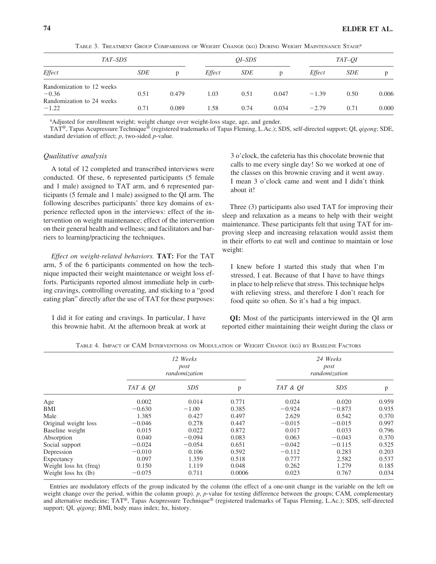TABLE 3. TREATMENT GROUP COMPARISONS OF WEIGHT CHANGE (KG) DURING WEIGHT MAINTENANCE STAGE<sup>a</sup>

| TAT-SDS                              | $OI$ -SDS  |       |        | TAT-OI     |       |         |            |       |
|--------------------------------------|------------|-------|--------|------------|-------|---------|------------|-------|
| Effect                               | <b>SDE</b> | D     | Effect | <b>SDE</b> | D     | Effect  | <b>SDE</b> | D     |
| Randomization to 12 weeks<br>$-0.36$ | 0.51       | 0.479 | 1.03   | 0.51       | 0.047 | $-1.39$ | 0.50       | 0.006 |
| Randomization to 24 weeks<br>$-1.22$ | 0.71       | 0.089 | 1.58   | 0.74       | 0.034 | $-2.79$ | 0.71       | 0.000 |

<sup>a</sup>Adjusted for enrollment weight; weight change over weight-loss stage, age, and gender.

TAT®, Tapas Acupressure Technique® (registered trademarks of Tapas Fleming, L.Ac.); SDS, self-directed support; QI, *qigong*; SDE, standard deviation of effect; *p*, two-sided *p*-value.

# *Qualitative analysis*

A total of 12 completed and transcribed interviews were conducted. Of these, 6 represented participants (5 female and 1 male) assigned to TAT arm, and 6 represented participants (5 female and 1 male) assigned to the QI arm. The following describes participants' three key domains of experience reflected upon in the interviews: effect of the intervention on weight maintenance; effect of the intervention on their general health and wellness; and facilitators and barriers to learning/practicing the techniques.

*Effect on weight-related behaviors.* **TAT:** For the TAT arm, 5 of the 6 participants commented on how the technique impacted their weight maintenance or weight loss efforts. Participants reported almost immediate help in curbing cravings, controlling overeating, and sticking to a "good eating plan" directly after the use of TAT for these purposes:

I did it for eating and cravings. In particular, I have this brownie habit. At the afternoon break at work at 3 o'clock, the cafeteria has this chocolate brownie that calls to me every single day! So we worked at one of the classes on this brownie craving and it went away. I mean 3 o'clock came and went and I didn't think about it!

Three (3) participants also used TAT for improving their sleep and relaxation as a means to help with their weight maintenance. These participants felt that using TAT for improving sleep and increasing relaxation would assist them in their efforts to eat well and continue to maintain or lose weight:

I knew before I started this study that when I'm stressed, I eat. Because of that I have to have things in place to help relieve that stress. This technique helps with relieving stress, and therefore I don't reach for food quite so often. So it's had a big impact.

**QI:** Most of the participants interviewed in the QI arm reported either maintaining their weight during the class or

|                       |          | 12 Weeks<br>post<br>randomization |        |          | 24 Weeks<br>post<br>randomization |       |
|-----------------------|----------|-----------------------------------|--------|----------|-----------------------------------|-------|
|                       | TAT & OI | <b>SDS</b>                        | p      | TAT & QI | <b>SDS</b>                        | p     |
| Age                   | 0.002    | 0.014                             | 0.771  | 0.024    | 0.020                             | 0.959 |
| BMI                   | $-0.630$ | $-1.00$                           | 0.385  | $-0.924$ | $-0.873$                          | 0.935 |
| Male                  | 1.385    | 0.427                             | 0.497  | 2.629    | 0.542                             | 0.370 |
| Original weight loss  | $-0.046$ | 0.278                             | 0.447  | $-0.015$ | $-0.015$                          | 0.997 |
| Baseline weight       | 0.015    | 0.022                             | 0.872  | 0.017    | 0.033                             | 0.796 |
| Absorption            | 0.040    | $-0.094$                          | 0.083  | 0.063    | $-0.043$                          | 0.370 |
| Social support        | $-0.024$ | $-0.054$                          | 0.651  | $-0.042$ | $-0.115$                          | 0.525 |
| Depression            | $-0.010$ | 0.106                             | 0.592  | $-0.112$ | 0.283                             | 0.203 |
| Expectancy            | 0.097    | 1.359                             | 0.518  | 0.777    | 2.582                             | 0.537 |
| Weight loss hx (freq) | 0.150    | 1.119                             | 0.048  | 0.262    | 1.279                             | 0.185 |
| Weight loss hx (lb)   | $-0.075$ | 0.711                             | 0.0006 | 0.023    | 0.767                             | 0.034 |

TABLE 4. IMPACT OF CAM INTERVENTIONS ON MODULATION OF WEIGHT CHANGE (KG) BY BASELINE FACTORS

Entries are modulatory effects of the group indicated by the column (the effect of a one-unit change in the variable on the left on weight change over the period, within the column group). *p*, *p*-value for testing difference between the groups; CAM, complementary and alternative medicine; TAT®, Tapas Acupressure Technique® (registered trademarks of Tapas Fleming, L.Ac.); SDS, self-directed support; QI, *qigong*; BMI, body mass index; hx, history.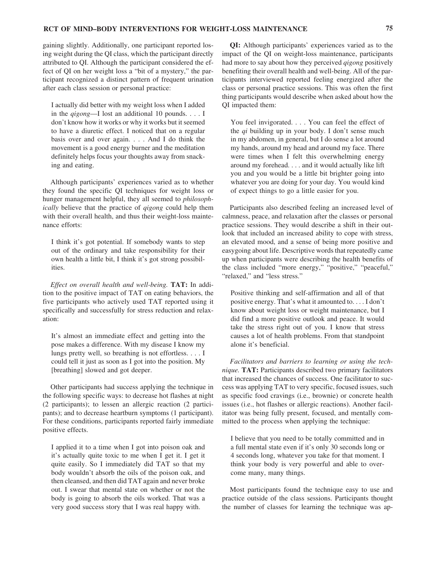gaining slightly. Additionally, one participant reported losing weight during the QI class, which the participant directly attributed to QI. Although the participant considered the effect of QI on her weight loss a "bit of a mystery," the participant recognized a distinct pattern of frequent urination after each class session or personal practice:

I actually did better with my weight loss when I added in the *qigong*—I lost an additional 10 pounds. . . . I don't know how it works or why it works but it seemed to have a diuretic effect. I noticed that on a regular basis over and over again. . . . And I do think the movement is a good energy burner and the meditation definitely helps focus your thoughts away from snacking and eating.

Although participants' experiences varied as to whether they found the specific QI techniques for weight loss or hunger management helpful, they all seemed to *philosophically* believe that the practice of *qigong* could help them with their overall health, and thus their weight-loss maintenance efforts:

I think it's got potential. If somebody wants to step out of the ordinary and take responsibility for their own health a little bit, I think it's got strong possibilities.

*Effect on overall health and well-being.* **TAT:** In addition to the positive impact of TAT on eating behaviors, the five participants who actively used TAT reported using it specifically and successfully for stress reduction and relaxation:

It's almost an immediate effect and getting into the pose makes a difference. With my disease I know my lungs pretty well, so breathing is not effortless. . . . I could tell it just as soon as I got into the position. My [breathing] slowed and got deeper.

Other participants had success applying the technique in the following specific ways: to decrease hot flashes at night (2 participants); to lessen an allergic reaction (2 participants); and to decrease heartburn symptoms (1 participant). For these conditions, participants reported fairly immediate positive effects.

I applied it to a time when I got into poison oak and it's actually quite toxic to me when I get it. I get it quite easily. So I immediately did TAT so that my body wouldn't absorb the oils of the poison oak, and then cleansed, and then did TAT again and never broke out. I swear that mental state on whether or not the body is going to absorb the oils worked. That was a very good success story that I was real happy with.

**QI:** Although participants' experiences varied as to the impact of the QI on weight-loss maintenance, participants had more to say about how they perceived *qigong* positively benefiting their overall health and well-being. All of the participants interviewed reported feeling energized after the class or personal practice sessions. This was often the first thing participants would describe when asked about how the QI impacted them:

You feel invigorated. . . . You can feel the effect of the *qi* building up in your body. I don't sense much in my abdomen, in general, but I do sense a lot around my hands, around my head and around my face. There were times when I felt this overwhelming energy around my forehead. . . . and it would actually like lift you and you would be a little bit brighter going into whatever you are doing for your day. You would kind of expect things to go a little easier for you.

Participants also described feeling an increased level of calmness, peace, and relaxation after the classes or personal practice sessions. They would describe a shift in their outlook that included an increased ability to cope with stress, an elevated mood, and a sense of being more positive and easygoing about life. Descriptive words that repeatedly came up when participants were describing the health benefits of the class included "more energy," "positive," "peaceful," "relaxed," and "less stress."

Positive thinking and self-affirmation and all of that positive energy. That's what it amounted to. . . . I don't know about weight loss or weight maintenance, but I did find a more positive outlook and peace. It would take the stress right out of you. I know that stress causes a lot of health problems. From that standpoint alone it's beneficial.

*Facilitators and barriers to learning or using the technique.* **TAT:** Participants described two primary facilitators that increased the chances of success. One facilitator to success was applying TAT to very specific, focused issues, such as specific food cravings (i.e., brownie) or concrete health issues (i.e., hot flashes or allergic reactions). Another facilitator was being fully present, focused, and mentally committed to the process when applying the technique:

I believe that you need to be totally committed and in a full mental state even if it's only 30 seconds long or 4 seconds long, whatever you take for that moment. I think your body is very powerful and able to overcome many, many things.

Most participants found the technique easy to use and practice outside of the class sessions. Participants thought the number of classes for learning the technique was ap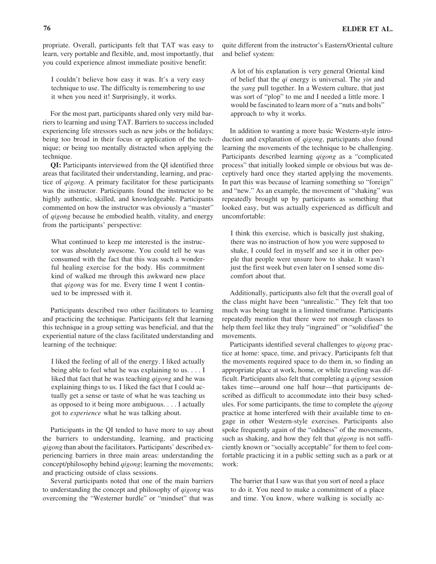propriate. Overall, participants felt that TAT was easy to learn, very portable and flexible, and, most importantly, that you could experience almost immediate positive benefit:

I couldn't believe how easy it was. It's a very easy technique to use. The difficulty is remembering to use it when you need it! Surprisingly, it works.

For the most part, participants shared only very mild barriers to learning and using TAT. Barriers to success included experiencing life stressors such as new jobs or the holidays; being too broad in their focus or application of the technique; or being too mentally distracted when applying the technique.

**QI:** Participants interviewed from the QI identified three areas that facilitated their understanding, learning, and practice of *qigong*. A primary facilitator for these participants was the instructor. Participants found the instructor to be highly authentic, skilled, and knowledgeable. Participants commented on how the instructor was obviously a "master" of *qigong* because he embodied health, vitality, and energy from the participants' perspective:

What continued to keep me interested is the instructor was absolutely awesome. You could tell he was consumed with the fact that this was such a wonderful healing exercise for the body. His commitment kind of walked me through this awkward new place that *qigong* was for me. Every time I went I continued to be impressed with it.

Participants described two other facilitators to learning and practicing the technique. Participants felt that learning this technique in a group setting was beneficial, and that the experiential nature of the class facilitated understanding and learning of the technique:

I liked the feeling of all of the energy. I liked actually being able to feel what he was explaining to us. . . . I liked that fact that he was teaching *qigong* and he was explaining things to us. I liked the fact that I could actually get a sense or taste of what he was teaching us as opposed to it being more ambiguous. . . . I actually got to *experience* what he was talking about.

Participants in the QI tended to have more to say about the barriers to understanding, learning, and practicing *qigong* than about the facilitators. Participants' described experiencing barriers in three main areas: understanding the concept/philosophy behind *qigong*; learning the movements; and practicing outside of class sessions.

Several participants noted that one of the main barriers to understanding the concept and philosophy of *qigong* was overcoming the "Westerner hurdle" or "mindset" that was quite different from the instructor's Eastern/Oriental culture and belief system:

A lot of his explanation is very general Oriental kind of belief that the *qi* energy is universal. The *yin* and the *yang* pull together. In a Western culture, that just was sort of "plop" to me and I needed a little more. I would be fascinated to learn more of a "nuts and bolts" approach to why it works.

In addition to wanting a more basic Western-style introduction and explanation of *qigong*, participants also found learning the movements of the technique to be challenging. Participants described learning *qigong* as a "complicated process" that initially looked simple or obvious but was deceptively hard once they started applying the movements. In part this was because of learning something so "foreign" and "new." As an example, the movement of "shaking" was repeatedly brought up by participants as something that looked easy, but was actually experienced as difficult and uncomfortable:

I think this exercise, which is basically just shaking, there was no instruction of how you were supposed to shake, I could feel in myself and see it in other people that people were unsure how to shake. It wasn't just the first week but even later on I sensed some discomfort about that.

Additionally, participants also felt that the overall goal of the class might have been "unrealistic." They felt that too much was being taught in a limited timeframe. Participants repeatedly mention that there were not enough classes to help them feel like they truly "ingrained" or "solidified" the movements.

Participants identified several challenges to *qigong* practice at home: space, time, and privacy. Participants felt that the movements required space to do them in, so finding an appropriate place at work, home, or while traveling was difficult. Participants also felt that completing a *qigong* session takes time—around one half hour—that participants described as difficult to accommodate into their busy schedules. For some participants, the time to complete the *qigong* practice at home interfered with their available time to engage in other Western-style exercises. Participants also spoke frequently again of the "oddness" of the movements, such as shaking, and how they felt that *qigong* is not sufficiently known or "socially acceptable" for them to feel comfortable practicing it in a public setting such as a park or at work:

The barrier that I saw was that you sort of need a place to do it. You need to make a commitment of a place and time. You know, where walking is socially ac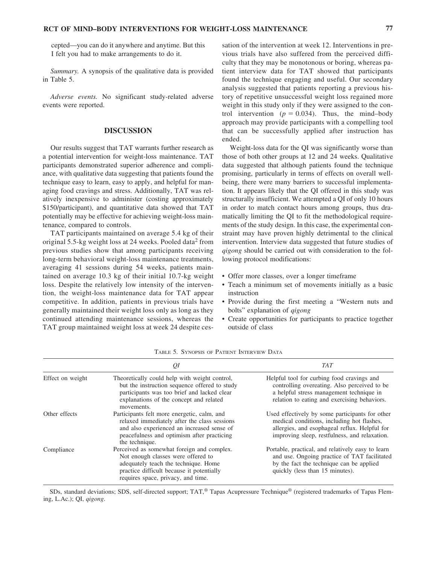cepted—you can do it anywhere and anytime. But this I felt you had to make arrangements to do it.

*Summary.* A synopsis of the qualitative data is provided in Table 5.

*Adverse events.* No significant study-related adverse events were reported.

## **DISCUSSION**

Our results suggest that TAT warrants further research as a potential intervention for weight-loss maintenance. TAT participants demonstrated superior adherence and compliance, with qualitative data suggesting that patients found the technique easy to learn, easy to apply, and helpful for managing food cravings and stress. Additionally, TAT was relatively inexpensive to administer (costing approximately \$150/participant), and quantitative data showed that TAT potentially may be effective for achieving weight-loss maintenance, compared to controls.

TAT participants maintained on average 5.4 kg of their original 5.5-kg weight loss at 24 weeks. Pooled data<sup>2</sup> from previous studies show that among participants receiving long-term behavioral weight-loss maintenance treatments, averaging 41 sessions during 54 weeks, patients maintained on average 10.3 kg of their initial 10.7-kg weight loss. Despite the relatively low intensity of the intervention, the weight-loss maintenance data for TAT appear competitive. In addition, patients in previous trials have generally maintained their weight loss only as long as they continued attending maintenance sessions, whereas the TAT group maintained weight loss at week 24 despite ces-

sation of the intervention at week 12. Interventions in previous trials have also suffered from the perceived difficulty that they may be monotonous or boring, whereas patient interview data for TAT showed that participants found the technique engaging and useful. Our secondary analysis suggested that patients reporting a previous history of repetitive unsuccessful weight loss regained more weight in this study only if they were assigned to the control intervention  $(p = 0.034)$ . Thus, the mind–body approach may provide participants with a compelling tool that can be successfully applied after instruction has ended.

Weight-loss data for the QI was significantly worse than those of both other groups at 12 and 24 weeks. Qualitative data suggested that although patients found the technique promising, particularly in terms of effects on overall wellbeing, there were many barriers to successful implementation. It appears likely that the QI offered in this study was structurally insufficient. We attempted a QI of only 10 hours in order to match contact hours among groups, thus dramatically limiting the QI to fit the methodological requirements of the study design. In this case, the experimental constraint may have proven highly detrimental to the clinical intervention. Interview data suggested that future studies of *qigong* should be carried out with consideration to the following protocol modifications:

- Offer more classes, over a longer timeframe
- Teach a minimum set of movements initially as a basic instruction
- Provide during the first meeting a "Western nuts and bolts" explanation of *qigong*
- Create opportunities for participants to practice together outside of class

|                  | QI                                                                                                                                                                                                          | <b>TAT</b>                                                                                                                                                                                      |
|------------------|-------------------------------------------------------------------------------------------------------------------------------------------------------------------------------------------------------------|-------------------------------------------------------------------------------------------------------------------------------------------------------------------------------------------------|
| Effect on weight | Theoretically could help with weight control,<br>but the instruction sequence offered to study<br>participants was too brief and lacked clear<br>explanations of the concept and related<br>movements.      | Helpful tool for curbing food cravings and<br>controlling overeating. Also perceived to be<br>a helpful stress management technique in<br>relation to eating and exercising behaviors.          |
| Other effects    | Participants felt more energetic, calm, and<br>relaxed immediately after the class sessions<br>and also experienced an increased sense of<br>peacefulness and optimism after practicing<br>the technique.   | Used effectively by some participants for other<br>medical conditions, including hot flashes,<br>allergies, and esophageal reflux. Helpful for<br>improving sleep, restfulness, and relaxation. |
| Compliance       | Perceived as somewhat foreign and complex.<br>Not enough classes were offered to<br>adequately teach the technique. Home<br>practice difficult because it potentially<br>requires space, privacy, and time. | Portable, practical, and relatively easy to learn<br>and use. Ongoing practice of TAT facilitated<br>by the fact the technique can be applied<br>quickly (less than 15 minutes).                |

TABLE 5. SYNOPSIS OF PATIENT INTERVIEW DATA

SDs, standard deviations; SDS, self-directed support; TAT,® Tapas Acupressure Technique® (registered trademarks of Tapas Fleming, L.Ac.); QI, *qigong*.